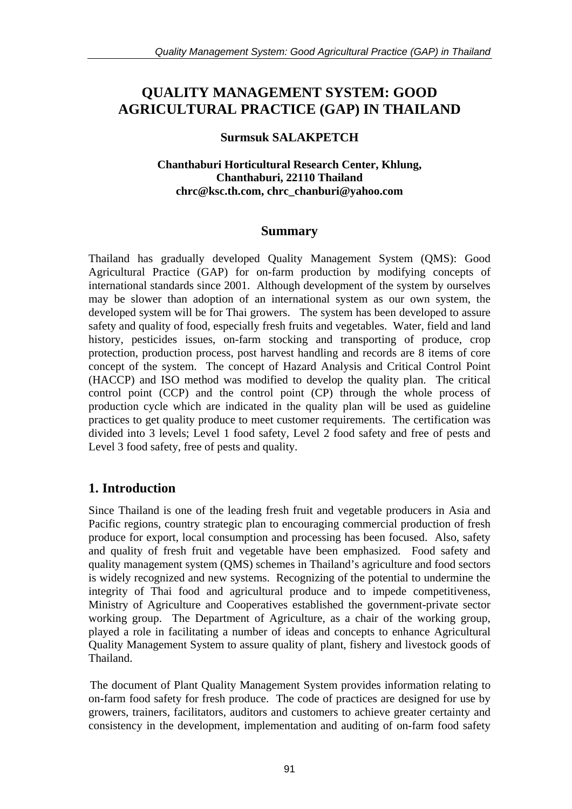# **QUALITY MANAGEMENT SYSTEM: GOOD AGRICULTURAL PRACTICE (GAP) IN THAILAND**

#### **Surmsuk SALAKPETCH**

#### **Chanthaburi Horticultural Research Center, Khlung, Chanthaburi, 22110 Thailand [chrc@ksc.th.com,](mailto:chrc@ksc.th.com) [chrc\\_chanburi@yahoo.com](mailto:chrc_chanburi@yahoo.com)**

### **Summary**

Thailand has gradually developed Quality Management System (QMS): Good Agricultural Practice (GAP) for on-farm production by modifying concepts of international standards since 2001. Although development of the system by ourselves may be slower than adoption of an international system as our own system, the developed system will be for Thai growers. The system has been developed to assure safety and quality of food, especially fresh fruits and vegetables. Water, field and land history, pesticides issues, on-farm stocking and transporting of produce, crop protection, production process, post harvest handling and records are 8 items of core concept of the system. The concept of Hazard Analysis and Critical Control Point (HACCP) and ISO method was modified to develop the quality plan. The critical control point (CCP) and the control point (CP) through the whole process of production cycle which are indicated in the quality plan will be used as guideline practices to get quality produce to meet customer requirements. The certification was divided into 3 levels; Level 1 food safety, Level 2 food safety and free of pests and Level 3 food safety, free of pests and quality.

## **1. Introduction**

Since Thailand is one of the leading fresh fruit and vegetable producers in Asia and Pacific regions, country strategic plan to encouraging commercial production of fresh produce for export, local consumption and processing has been focused. Also, safety and quality of fresh fruit and vegetable have been emphasized. Food safety and quality management system (QMS) schemes in Thailand's agriculture and food sectors is widely recognized and new systems. Recognizing of the potential to undermine the integrity of Thai food and agricultural produce and to impede competitiveness, Ministry of Agriculture and Cooperatives established the government-private sector working group. The Department of Agriculture, as a chair of the working group, played a role in facilitating a number of ideas and concepts to enhance Agricultural Quality Management System to assure quality of plant, fishery and livestock goods of Thailand.

The document of Plant Quality Management System provides information relating to on-farm food safety for fresh produce. The code of practices are designed for use by growers, trainers, facilitators, auditors and customers to achieve greater certainty and consistency in the development, implementation and auditing of on-farm food safety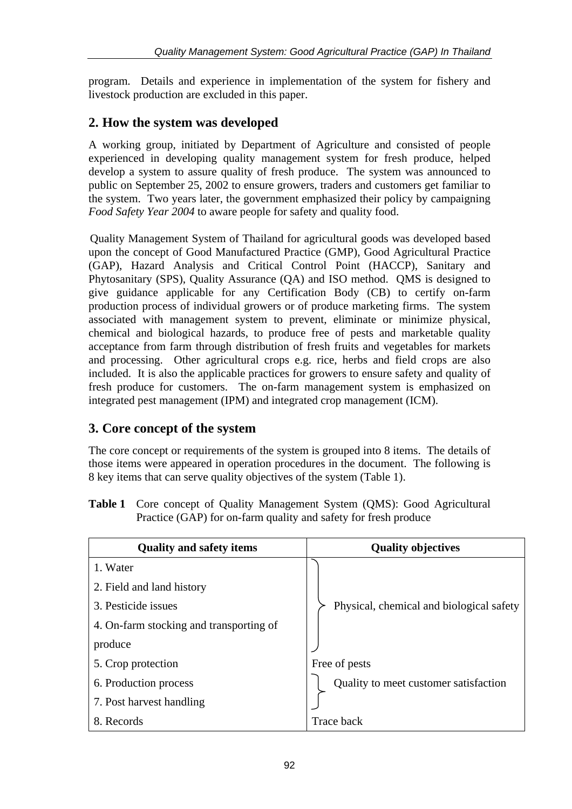program. Details and experience in implementation of the system for fishery and livestock production are excluded in this paper.

## **2. How the system was developed**

A working group, initiated by Department of Agriculture and consisted of people experienced in developing quality management system for fresh produce, helped develop a system to assure quality of fresh produce. The system was announced to public on September 25, 2002 to ensure growers, traders and customers get familiar to the system. Two years later, the government emphasized their policy by campaigning *Food Safety Year 2004* to aware people for safety and quality food.

Quality Management System of Thailand for agricultural goods was developed based upon the concept of Good Manufactured Practice (GMP), Good Agricultural Practice (GAP), Hazard Analysis and Critical Control Point (HACCP), Sanitary and Phytosanitary (SPS), Quality Assurance (QA) and ISO method. QMS is designed to give guidance applicable for any Certification Body (CB) to certify on-farm production process of individual growers or of produce marketing firms. The system associated with management system to prevent, eliminate or minimize physical, chemical and biological hazards, to produce free of pests and marketable quality acceptance from farm through distribution of fresh fruits and vegetables for markets and processing. Other agricultural crops e.g. rice, herbs and field crops are also included. It is also the applicable practices for growers to ensure safety and quality of fresh produce for customers. The on-farm management system is emphasized on integrated pest management (IPM) and integrated crop management (ICM).

## **3. Core concept of the system**

The core concept or requirements of the system is grouped into 8 items. The details of those items were appeared in operation procedures in the document. The following is 8 key items that can serve quality objectives of the system (Table 1).

**Table 1** Core concept of Quality Management System (QMS): Good Agricultural Practice (GAP) for on-farm quality and safety for fresh produce

| <b>Quality and safety items</b>         | <b>Quality objectives</b>                |  |  |  |
|-----------------------------------------|------------------------------------------|--|--|--|
| 1. Water                                |                                          |  |  |  |
| 2. Field and land history               |                                          |  |  |  |
| 3. Pesticide issues                     | Physical, chemical and biological safety |  |  |  |
| 4. On-farm stocking and transporting of |                                          |  |  |  |
| produce                                 |                                          |  |  |  |
| 5. Crop protection                      | Free of pests                            |  |  |  |
| 6. Production process                   | Quality to meet customer satisfaction    |  |  |  |
| 7. Post harvest handling                |                                          |  |  |  |
| 8. Records                              | <b>Trace back</b>                        |  |  |  |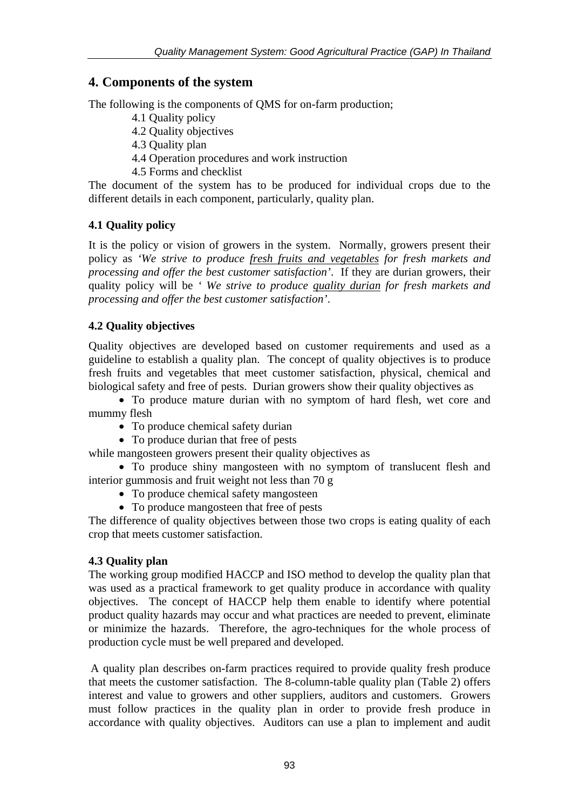## **4. Components of the system**

The following is the components of QMS for on-farm production;

- 4.1 Quality policy
- 4.2 Quality objectives
- 4.3 Quality plan
- 4.4 Operation procedures and work instruction
- 4.5 Forms and checklist

The document of the system has to be produced for individual crops due to the different details in each component, particularly, quality plan.

#### **4.1 Quality policy**

It is the policy or vision of growers in the system. Normally, growers present their policy as *'We strive to produce fresh fruits and vegetables for fresh markets and processing and offer the best customer satisfaction'*. If they are durian growers, their quality policy will be *' We strive to produce quality durian for fresh markets and processing and offer the best customer satisfaction'*.

#### **4.2 Quality objectives**

Quality objectives are developed based on customer requirements and used as a guideline to establish a quality plan. The concept of quality objectives is to produce fresh fruits and vegetables that meet customer satisfaction, physical, chemical and biological safety and free of pests. Durian growers show their quality objectives as

• To produce mature durian with no symptom of hard flesh, wet core and mummy flesh

- To produce chemical safety durian
- To produce durian that free of pests

while mangosteen growers present their quality objectives as

• To produce shiny mangosteen with no symptom of translucent flesh and interior gummosis and fruit weight not less than 70 g

- To produce chemical safety mangosteen
- To produce mangosteen that free of pests

The difference of quality objectives between those two crops is eating quality of each crop that meets customer satisfaction.

#### **4.3 Quality plan**

The working group modified HACCP and ISO method to develop the quality plan that was used as a practical framework to get quality produce in accordance with quality objectives. The concept of HACCP help them enable to identify where potential product quality hazards may occur and what practices are needed to prevent, eliminate or minimize the hazards. Therefore, the agro-techniques for the whole process of production cycle must be well prepared and developed.

A quality plan describes on-farm practices required to provide quality fresh produce that meets the customer satisfaction. The 8-column-table quality plan (Table 2) offers interest and value to growers and other suppliers, auditors and customers. Growers must follow practices in the quality plan in order to provide fresh produce in accordance with quality objectives. Auditors can use a plan to implement and audit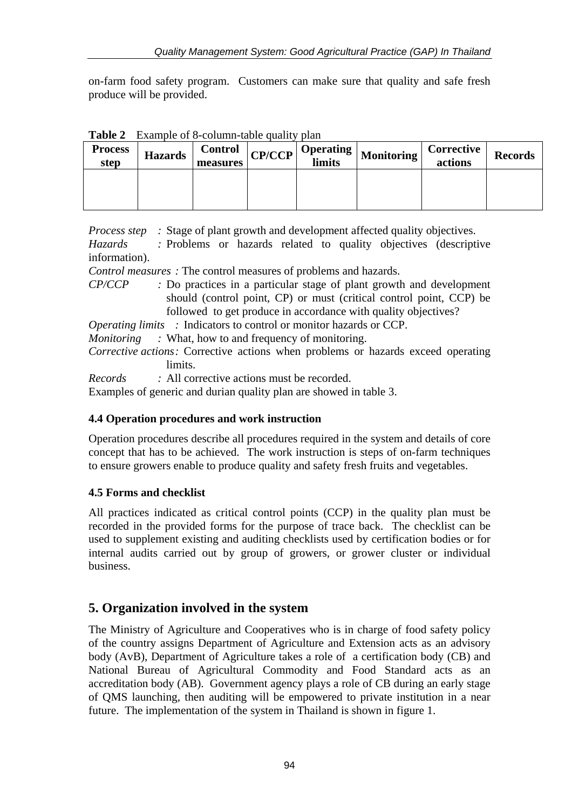on-farm food safety program. Customers can make sure that quality and safe fresh produce will be provided.

| <b>Process</b><br>step | <b>Hazards</b> | <b>Control</b><br>measures | <b>CP/CCP</b> | <b>Operating</b><br>limits | <b>Monitoring</b> | Corrective<br>actions | <b>Records</b> |
|------------------------|----------------|----------------------------|---------------|----------------------------|-------------------|-----------------------|----------------|
|                        |                |                            |               |                            |                   |                       |                |
|                        |                |                            |               |                            |                   |                       |                |

**Table 2** Example of 8-column-table quality plan

*Process step* : Stage of plant growth and development affected quality objectives.

*Hazards :* Problems or hazards related to quality objectives (descriptive information).

*Control measures :* The control measures of problems and hazards.

*CP/CCP :* Do practices in a particular stage of plant growth and development should (control point, CP) or must (critical control point, CCP) be followed to get produce in accordance with quality objectives?

*Operating limits* : Indicators to control or monitor hazards or CCP.

*Monitoring* : What, how to and frequency of monitoring.

*Corrective actions:* Corrective actions when problems or hazards exceed operating limits.

*Records :* All corrective actions must be recorded.

Examples of generic and durian quality plan are showed in table 3.

#### **4.4 Operation procedures and work instruction**

Operation procedures describe all procedures required in the system and details of core concept that has to be achieved. The work instruction is steps of on-farm techniques to ensure growers enable to produce quality and safety fresh fruits and vegetables.

#### **4.5 Forms and checklist**

All practices indicated as critical control points (CCP) in the quality plan must be recorded in the provided forms for the purpose of trace back. The checklist can be used to supplement existing and auditing checklists used by certification bodies or for internal audits carried out by group of growers, or grower cluster or individual business.

## **5. Organization involved in the system**

The Ministry of Agriculture and Cooperatives who is in charge of food safety policy of the country assigns Department of Agriculture and Extension acts as an advisory body (AvB), Department of Agriculture takes a role of a certification body (CB) and National Bureau of Agricultural Commodity and Food Standard acts as an accreditation body (AB). Government agency plays a role of CB during an early stage of QMS launching, then auditing will be empowered to private institution in a near future. The implementation of the system in Thailand is shown in figure 1.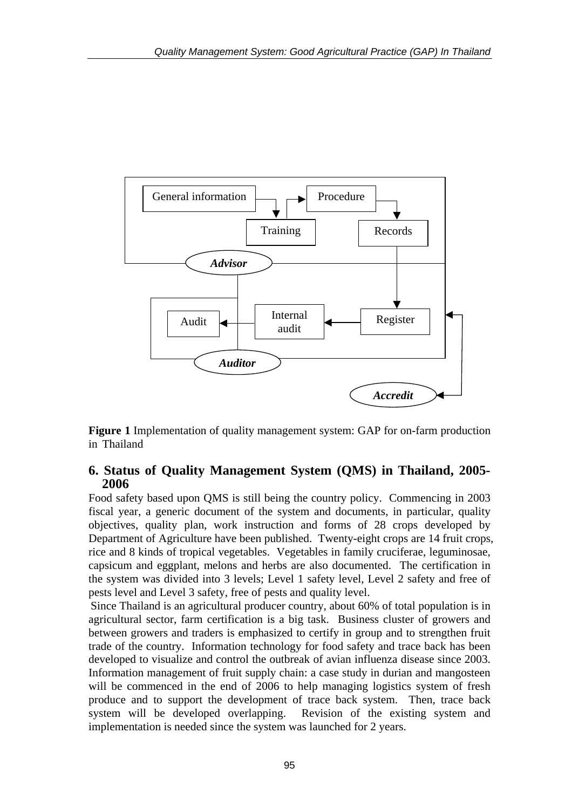

**Figure 1** Implementation of quality management system: GAP for on-farm production in Thailand

#### **6. Status of Quality Management System (QMS) in Thailand, 2005- 2006**

Food safety based upon QMS is still being the country policy. Commencing in 2003 fiscal year, a generic document of the system and documents, in particular, quality objectives, quality plan, work instruction and forms of 28 crops developed by Department of Agriculture have been published. Twenty-eight crops are 14 fruit crops, rice and 8 kinds of tropical vegetables. Vegetables in family cruciferae, leguminosae, capsicum and eggplant, melons and herbs are also documented. The certification in the system was divided into 3 levels; Level 1 safety level, Level 2 safety and free of pests level and Level 3 safety, free of pests and quality level.

Since Thailand is an agricultural producer country, about 60% of total population is in agricultural sector, farm certification is a big task. Business cluster of growers and between growers and traders is emphasized to certify in group and to strengthen fruit trade of the country. Information technology for food safety and trace back has been developed to visualize and control the outbreak of avian influenza disease since 2003. Information management of fruit supply chain: a case study in durian and mangosteen will be commenced in the end of 2006 to help managing logistics system of fresh produce and to support the development of trace back system. Then, trace back system will be developed overlapping. Revision of the existing system and implementation is needed since the system was launched for 2 years.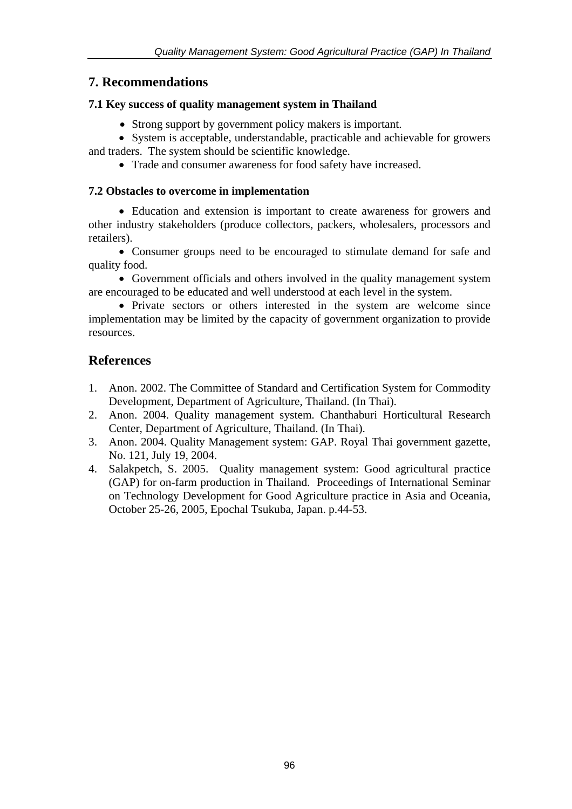## **7. Recommendations**

#### **7.1 Key success of quality management system in Thailand**

- Strong support by government policy makers is important.
- System is acceptable, understandable, practicable and achievable for growers and traders. The system should be scientific knowledge.
	- Trade and consumer awareness for food safety have increased.

#### **7.2 Obstacles to overcome in implementation**

• Education and extension is important to create awareness for growers and other industry stakeholders (produce collectors, packers, wholesalers, processors and retailers).

• Consumer groups need to be encouraged to stimulate demand for safe and quality food.

• Government officials and others involved in the quality management system are encouraged to be educated and well understood at each level in the system.

• Private sectors or others interested in the system are welcome since implementation may be limited by the capacity of government organization to provide resources.

## **References**

- 1. Anon. 2002. The Committee of Standard and Certification System for Commodity Development, Department of Agriculture, Thailand. (In Thai).
- 2. Anon. 2004. Quality management system. Chanthaburi Horticultural Research Center, Department of Agriculture, Thailand. (In Thai).
- 3. Anon. 2004. Quality Management system: GAP. Royal Thai government gazette, No. 121, July 19, 2004.
- 4. Salakpetch, S. 2005. Quality management system: Good agricultural practice (GAP) for on-farm production in Thailand. Proceedings of International Seminar on Technology Development for Good Agriculture practice in Asia and Oceania, October 25-26, 2005, Epochal Tsukuba, Japan. p.44-53.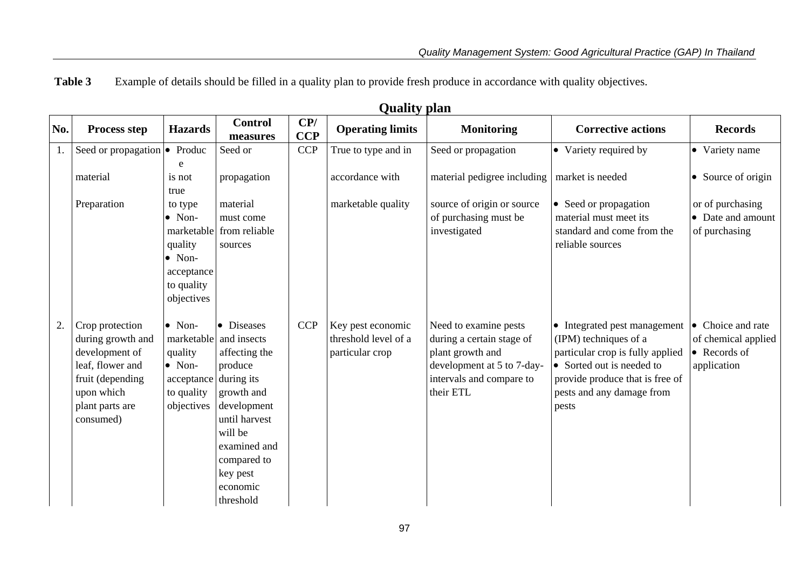**Table 3**Example of details should be filled in a quality plan to provide fresh produce in accordance with quality objectives.

|     | Yuunty piun                   |                |                            |                   |                         |                             |                                  |                              |
|-----|-------------------------------|----------------|----------------------------|-------------------|-------------------------|-----------------------------|----------------------------------|------------------------------|
| No. | <b>Process step</b>           | <b>Hazards</b> | <b>Control</b><br>measures | CP/<br><b>CCP</b> | <b>Operating limits</b> | <b>Monitoring</b>           | <b>Corrective actions</b>        | <b>Records</b>               |
|     | Seed or propagation $\bullet$ | Produc         | Seed or                    | CCP               | True to type and in     | Seed or propagation         | • Variety required by            | • Variety name               |
|     |                               | e              |                            |                   |                         |                             |                                  |                              |
|     | material                      | is not         | propagation                |                   | accordance with         | material pedigree including | market is needed                 | • Source of origin           |
|     |                               | true           |                            |                   |                         |                             |                                  |                              |
|     | Preparation                   | to type        | material                   |                   | marketable quality      | source of origin or source  | • Seed or propagation            | or of purchasing             |
|     |                               | $\bullet$ Non- | must come                  |                   |                         | of purchasing must be       | material must meet its           | • Date and amount            |
|     |                               |                | marketable from reliable   |                   |                         | investigated                | standard and come from the       | of purchasing                |
|     |                               | quality        | sources                    |                   |                         |                             | reliable sources                 |                              |
|     |                               | $\bullet$ Non- |                            |                   |                         |                             |                                  |                              |
|     |                               | acceptance     |                            |                   |                         |                             |                                  |                              |
|     |                               | to quality     |                            |                   |                         |                             |                                  |                              |
|     |                               | objectives     |                            |                   |                         |                             |                                  |                              |
| 2.  | Crop protection               | $\bullet$ Non- | • Diseases                 | CCP               | Key pest economic       | Need to examine pests       | • Integrated pest management     | Choice and rate<br>$\bullet$ |
|     | during growth and             | marketable     | and insects                |                   | threshold level of a    | during a certain stage of   | (IPM) techniques of a            | of chemical applied          |
|     | development of                | quality        | affecting the              |                   | particular crop         | plant growth and            | particular crop is fully applied | • Records of                 |
|     | leaf, flower and              | $\bullet$ Non- | produce                    |                   |                         | development at 5 to 7-day-  | • Sorted out is needed to        | application                  |
|     | fruit (depending              | acceptance     | during its                 |                   |                         | intervals and compare to    | provide produce that is free of  |                              |
|     | upon which                    | to quality     | growth and                 |                   |                         | their ETL                   | pests and any damage from        |                              |
|     | plant parts are               | objectives     | development                |                   |                         |                             | pests                            |                              |
|     | consumed)                     |                | until harvest              |                   |                         |                             |                                  |                              |
|     |                               |                | will be                    |                   |                         |                             |                                  |                              |
|     |                               |                | examined and               |                   |                         |                             |                                  |                              |
|     |                               |                | compared to                |                   |                         |                             |                                  |                              |
|     |                               |                | key pest                   |                   |                         |                             |                                  |                              |
|     |                               |                | economic                   |                   |                         |                             |                                  |                              |
|     |                               |                | threshold                  |                   |                         |                             |                                  |                              |

**Quality plan**